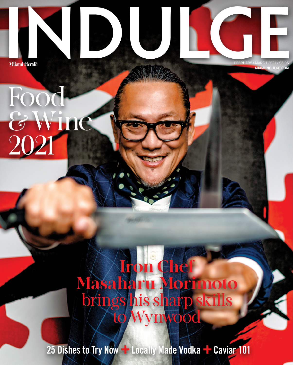**Food** 

2021

&Wine

**Hiami Herab** FEBRUARY / MARCH 2021 **MIAMIINDU** 

## Iron Chef Masaharu Morimoto brings his sharp skills to Wynwood

25 Dishes to Try Now  $-$  Locally Made Vodka  $-$  Caviar 101